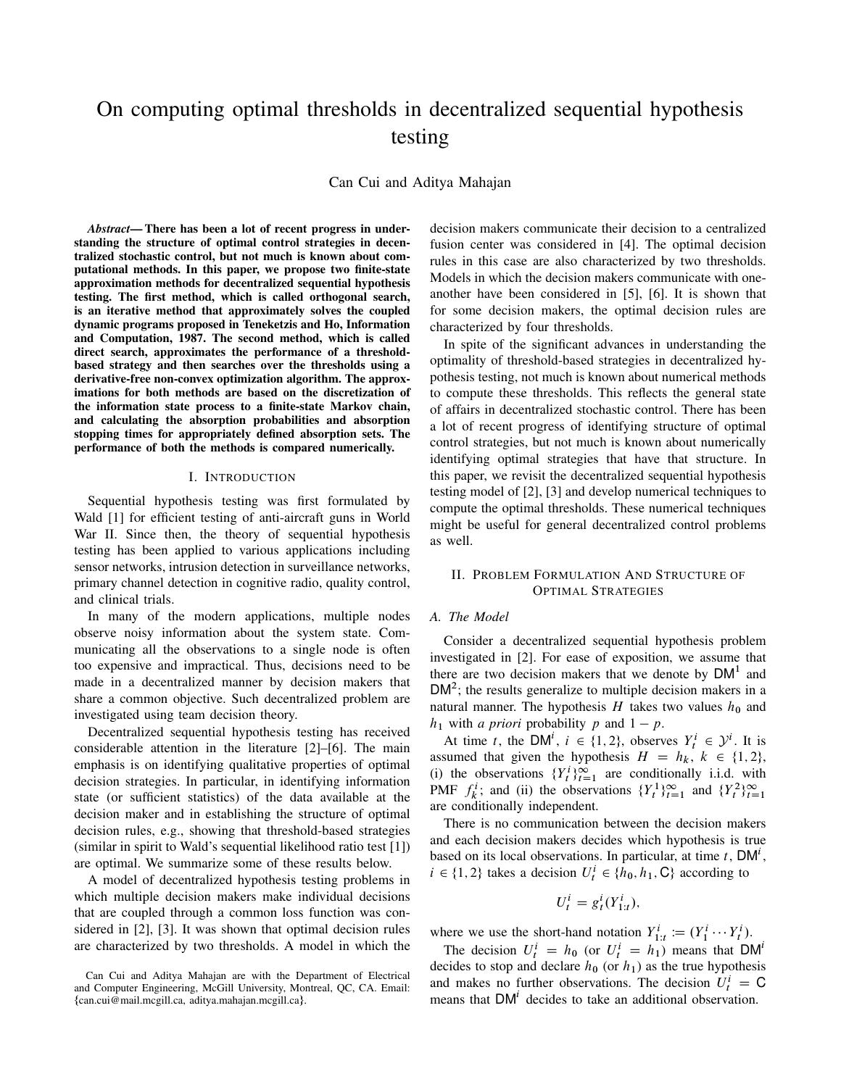# On computing optimal thresholds in decentralized sequential hypothesis testing

Can Cui and Aditya Mahajan

*Abstract*— There has been a lot of recent progress in understanding the structure of optimal control strategies in decentralized stochastic control, but not much is known about computational methods. In this paper, we propose two finite-state approximation methods for decentralized sequential hypothesis testing. The first method, which is called orthogonal search, is an iterative method that approximately solves the coupled dynamic programs proposed in Teneketzis and Ho, Information and Computation, 1987. The second method, which is called direct search, approximates the performance of a thresholdbased strategy and then searches over the thresholds using a derivative-free non-convex optimization algorithm. The approximations for both methods are based on the discretization of the information state process to a finite-state Markov chain, and calculating the absorption probabilities and absorption stopping times for appropriately defined absorption sets. The performance of both the methods is compared numerically.

#### I. INTRODUCTION

Sequential hypothesis testing was first formulated by Wald [1] for efficient testing of anti-aircraft guns in World War II. Since then, the theory of sequential hypothesis testing has been applied to various applications including sensor networks, intrusion detection in surveillance networks, primary channel detection in cognitive radio, quality control, and clinical trials.

In many of the modern applications, multiple nodes observe noisy information about the system state. Communicating all the observations to a single node is often too expensive and impractical. Thus, decisions need to be made in a decentralized manner by decision makers that share a common objective. Such decentralized problem are investigated using team decision theory.

Decentralized sequential hypothesis testing has received considerable attention in the literature [2]–[6]. The main emphasis is on identifying qualitative properties of optimal decision strategies. In particular, in identifying information state (or sufficient statistics) of the data available at the decision maker and in establishing the structure of optimal decision rules, e.g., showing that threshold-based strategies (similar in spirit to Wald's sequential likelihood ratio test [1]) are optimal. We summarize some of these results below.

A model of decentralized hypothesis testing problems in which multiple decision makers make individual decisions that are coupled through a common loss function was considered in [2], [3]. It was shown that optimal decision rules are characterized by two thresholds. A model in which the decision makers communicate their decision to a centralized fusion center was considered in [4]. The optimal decision rules in this case are also characterized by two thresholds. Models in which the decision makers communicate with oneanother have been considered in [5], [6]. It is shown that for some decision makers, the optimal decision rules are characterized by four thresholds.

In spite of the significant advances in understanding the optimality of threshold-based strategies in decentralized hypothesis testing, not much is known about numerical methods to compute these thresholds. This reflects the general state of affairs in decentralized stochastic control. There has been a lot of recent progress of identifying structure of optimal control strategies, but not much is known about numerically identifying optimal strategies that have that structure. In this paper, we revisit the decentralized sequential hypothesis testing model of [2], [3] and develop numerical techniques to compute the optimal thresholds. These numerical techniques might be useful for general decentralized control problems as well.

### II. PROBLEM FORMULATION AND STRUCTURE OF OPTIMAL STRATEGIES

#### *A. The Model*

Consider a decentralized sequential hypothesis problem investigated in [2]. For ease of exposition, we assume that there are two decision makers that we denote by  $DM<sup>1</sup>$  and  $DM<sup>2</sup>$ ; the results generalize to multiple decision makers in a natural manner. The hypothesis H takes two values  $h_0$  and  $h_1$  with *a priori* probability *p* and  $1 - p$ .

At time t, the DM<sup>i</sup>,  $i \in \{1, 2\}$ , observes  $Y_t^i \in \mathcal{Y}^i$ . It is assumed that given the hypothesis  $H = h_k, k \in \{1, 2\}$ , (i) the observations  $\{Y_t^i\}_{t=1}^\infty$  are conditionally i.i.d. with PMF  $f_k^i$ ; and (ii) the observations  $\{Y_t^1\}_{t=1}^\infty$  and  $\{Y_t^2\}_{t=1}^\infty$ are conditionally independent.

There is no communication between the decision makers and each decision makers decides which hypothesis is true based on its local observations. In particular, at time  $t$ , DM<sup>i</sup>,  $i \in \{1, 2\}$  takes a decision  $U_t^i \in \{\bar{h}_0, h_1, \mathbb{C}\}$  according to

$$
U_t^i = g_t^i(Y_{1:t}^i),
$$

where we use the short-hand notation  $Y_{1:t}^i := (Y_1^i \cdots Y_t^i)$ .

The decision  $U_t^i = h_0$  (or  $U_t^i = h_1$ ) means that  $DM^i$ decides to stop and declare  $h_0$  (or  $h_1$ ) as the true hypothesis and makes no further observations. The decision  $U_t^i = C$ means that  $DM<sup>i</sup>$  decides to take an additional observation.

Can Cui and Aditya Mahajan are with the Department of Electrical and Computer Engineering, McGill University, Montreal, QC, CA. Email:  $\{\text{can.} \text{cu} \otimes \text{mail.} \text{mcgill.} \text{ca}, \text{aditya.} \text{mahajan.} \text{mcgill.} \text{ca}\}.$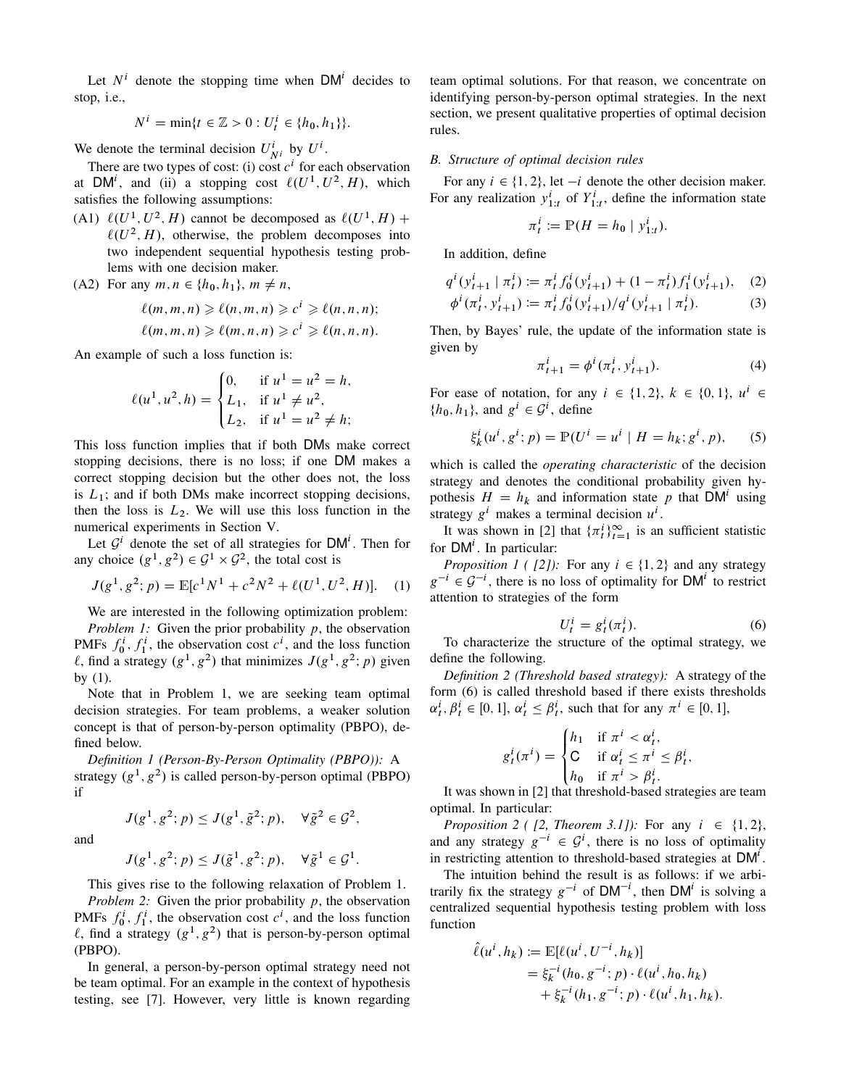Let  $N<sup>i</sup>$  denote the stopping time when DM<sup>i</sup> decides to stop, i.e.,

$$
N^{i} = \min\{t \in \mathbb{Z} > 0 : U_t^{i} \in \{h_0, h_1\}\}.
$$

We denote the terminal decision  $U_{N^i}^i$  by  $U^i$ .

There are two types of cost: (i) cost  $c^i$  for each observation at DM<sup>i</sup>, and (ii) a stopping cost  $\ell(U^1, U^2, H)$ , which satisfies the following assumptions:

(A1)  $\ell(U^1, U^2, H)$  cannot be decomposed as  $\ell(U^1, H)$  +  $\ell(U^2, H)$ , otherwise, the problem decomposes into two independent sequential hypothesis testing problems with one decision maker.

(A2) For any  $m, n \in \{h_0, h_1\}$ ,  $m \neq n$ ,

$$
\ell(m, m, n) \geqslant \ell(n, m, n) \geqslant c^i \geqslant \ell(n, n, n);
$$
  

$$
\ell(m, m, n) \geqslant \ell(m, n, n) \geqslant c^i \geqslant \ell(n, n, n).
$$

An example of such a loss function is:

$$
\ell(u^1, u^2, h) = \begin{cases} 0, & \text{if } u^1 = u^2 = h, \\ L_1, & \text{if } u^1 \neq u^2, \\ L_2, & \text{if } u^1 = u^2 \neq h; \end{cases}
$$

This loss function implies that if both DMs make correct stopping decisions, there is no loss; if one DM makes a correct stopping decision but the other does not, the loss is  $L_1$ ; and if both DMs make incorrect stopping decisions, then the loss is  $L_2$ . We will use this loss function in the numerical experiments in Section V.

Let  $\mathcal{G}^i$  denote the set of all strategies for DM<sup>i</sup>. Then for any choice  $(g^1, g^2) \in \mathcal{G}^1 \times \mathcal{G}^2$ , the total cost is

$$
J(g1, g2; p) = \mathbb{E}[c1N1 + c2N2 + \ell(U1, U2, H)].
$$
 (1)

We are interested in the following optimization problem: *Problem 1:* Given the prior probability p, the observation PMFs  $f_0^i$ ,  $f_1^i$ , the observation cost  $c^i$ , and the loss function  $\ell$ , find a strategy  $(g^1, g^2)$  that minimizes  $J(g^1, g^2; p)$  given by (1).

Note that in Problem 1, we are seeking team optimal decision strategies. For team problems, a weaker solution concept is that of person-by-person optimality (PBPO), defined below.

*Definition 1 (Person-By-Person Optimality (PBPO)):* A strategy  $(g<sup>1</sup>, g<sup>2</sup>)$  is called person-by-person optimal (PBPO) if

and

$$
J(g1, g2; p) \le J(\tilde{g}1, g2; p), \quad \forall \tilde{g}1 \in \mathcal{G}1.
$$

 $J(g^1, g^2; p) \leq J(g^1, \tilde{g}^2; p), \quad \forall \tilde{g}^2 \in \mathcal{G}^2,$ 

This gives rise to the following relaxation of Problem 1. *Problem 2:* Given the prior probability p, the observation PMFs  $f_0^i$ ,  $f_1^i$ , the observation cost  $c^i$ , and the loss function  $\ell$ , find a strategy  $(g^1, g^2)$  that is person-by-person optimal (PBPO).

In general, a person-by-person optimal strategy need not be team optimal. For an example in the context of hypothesis testing, see [7]. However, very little is known regarding team optimal solutions. For that reason, we concentrate on identifying person-by-person optimal strategies. In the next section, we present qualitative properties of optimal decision rules.

# *B. Structure of optimal decision rules*

For any  $i \in \{1, 2\}$ , let  $-i$  denote the other decision maker. For any realization  $y_{1:t}^i$  of  $Y_{1:t}^i$ , define the information state

$$
\pi_t^i := \mathbb{P}(H = h_0 \mid y_{1:t}^i).
$$

In addition, define

$$
q^{i}(y_{t+1}^{i} | \pi_{t}^{i}) \coloneqq \pi_{t}^{i} f_{0}^{i}(y_{t+1}^{i}) + (1 - \pi_{t}^{i}) f_{1}^{i}(y_{t+1}^{i}), \quad (2)
$$
  

$$
\phi^{i}(\pi_{t}^{i}, y_{t+1}^{i}) \coloneqq \pi_{t}^{i} f_{0}^{i}(y_{t+1}^{i}) / q^{i}(y_{t+1}^{i} | \pi_{t}^{i}). \quad (3)
$$

Then, by Bayes' rule, the update of the information state is given by

$$
\pi_{t+1}^i = \phi^i(\pi_t^i, y_{t+1}^i). \tag{4}
$$

For ease of notation, for any  $i \in \{1, 2\}$ ,  $k \in \{0, 1\}$ ,  $u^i \in$  $\{h_0, h_1\}$ , and  $g^i \in \mathcal{G}^i$ , define

$$
\xi_k^i(u^i, g^i; p) = \mathbb{P}(U^i = u^i \mid H = h_k; g^i, p), \quad (5)
$$

which is called the *operating characteristic* of the decision strategy and denotes the conditional probability given hypothesis  $H = h_k$  and information state p that DM<sup>i</sup> using strategy  $g^i$  makes a terminal decision  $u^i$ .

It was shown in [2] that  $\{\pi_t^i\}_{t=1}^\infty$  is an sufficient statistic for  $DM<sup>i</sup>$ . In particular:

*Proposition 1 ( [2]):* For any  $i \in \{1, 2\}$  and any strategy  $g^{-i} \in \mathcal{G}^{-i}$ , there is no loss of optimality for DM<sup>i</sup> to restrict attention to strategies of the form

$$
U_t^i = g_t^i(\pi_t^i). \tag{6}
$$

To characterize the structure of the optimal strategy, we define the following.

*Definition 2 (Threshold based strategy):* A strategy of the form (6) is called threshold based if there exists thresholds  $\alpha_t^i, \beta_t^i \in [0, 1], \alpha_t^i \leq \beta_t^i$ , such that for any  $\pi^i \in [0, 1],$ 

$$
g_t^i(\pi^i) = \begin{cases} h_1 & \text{if } \pi^i < \alpha_t^i, \\ C & \text{if } \alpha_t^i \leq \pi^i \leq \beta_t^i, \\ h_0 & \text{if } \pi^i > \beta_t^i. \end{cases}
$$

It was shown in [2] that threshold-based strategies are team optimal. In particular:

*Proposition 2 ( [2, Theorem 3.1]):* For any  $i \in \{1, 2\}$ , and any strategy  $g^{-i} \in \mathcal{G}^i$ , there is no loss of optimality in restricting attention to threshold-based strategies at  $DM<sup>i</sup>$ .

The intuition behind the result is as follows: if we arbitrarily fix the strategy  $g^{-i}$  of  $DM^{-i}$ , then  $DM^{i}$  is solving a centralized sequential hypothesis testing problem with loss function

$$
\hat{\ell}(u^{i}, h_{k}) := \mathbb{E}[\ell(u^{i}, U^{-i}, h_{k})] \n= \xi_{k}^{-i} (h_{0}, g^{-i}; p) \cdot \ell(u^{i}, h_{0}, h_{k}) \n+ \xi_{k}^{-i} (h_{1}, g^{-i}; p) \cdot \ell(u^{i}, h_{1}, h_{k}).
$$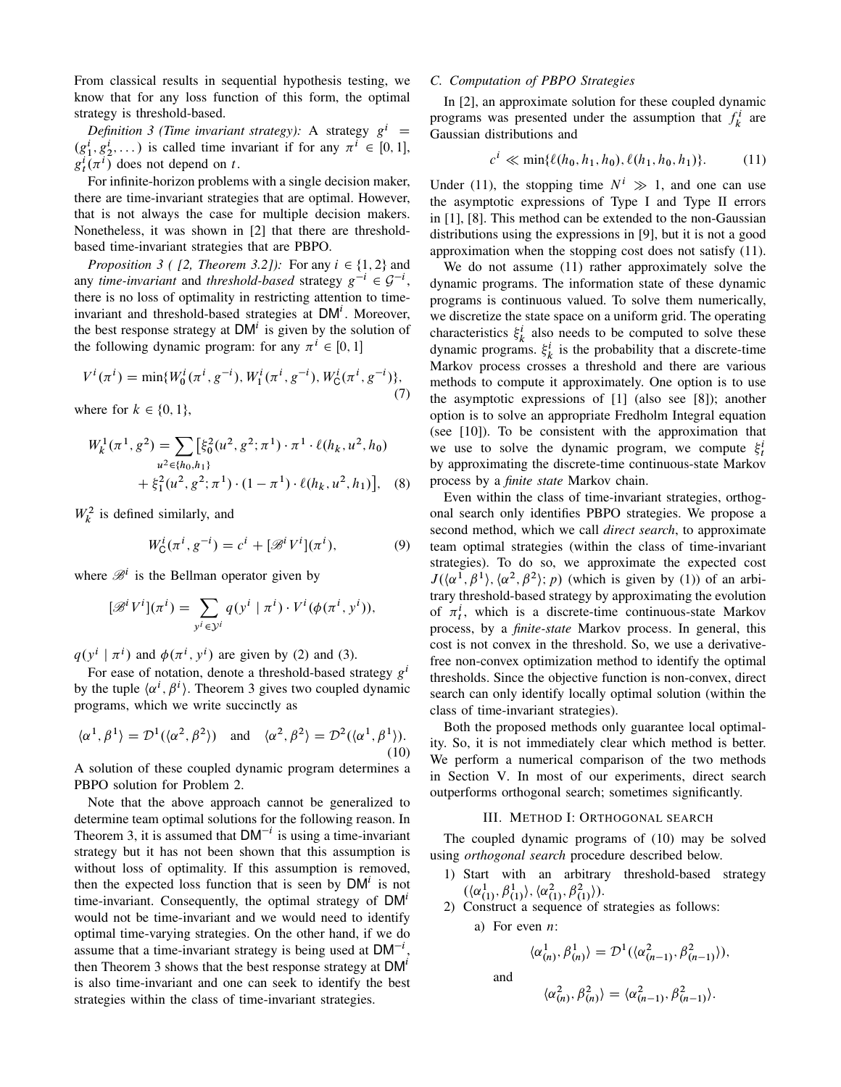From classical results in sequential hypothesis testing, we know that for any loss function of this form, the optimal strategy is threshold-based.

*Definition 3 (Time invariant strategy):* A strategy  $g^{i}$  =  $(g_1^i, g_2^i, \dots)$  is called time invariant if for any  $\pi^i \in [0, 1]$ ,  $g_t^i(\pi^i)$  does not depend on t.

For infinite-horizon problems with a single decision maker, there are time-invariant strategies that are optimal. However, that is not always the case for multiple decision makers. Nonetheless, it was shown in [2] that there are thresholdbased time-invariant strategies that are PBPO.

*Proposition 3 ( [2, Theorem 3.2]):* For any  $i \in \{1, 2\}$  and any *time-invariant* and *threshold-based* strategy  $g^{-i} \in \mathcal{G}^{-i}$ , there is no loss of optimality in restricting attention to timeinvariant and threshold-based strategies at  $DM<sup>i</sup>$ . Moreover, the best response strategy at  $DM<sup>i</sup>$  is given by the solution of the following dynamic program: for any  $\pi^{i} \in [0, 1]$ 

$$
V^{i}(\pi^{i}) = \min\{W_{0}^{i}(\pi^{i}, g^{-i}), W_{1}^{i}(\pi^{i}, g^{-i}), W_{\mathsf{C}}^{i}(\pi^{i}, g^{-i})\},\tag{7}
$$

where for  $k \in \{0, 1\}$ ,

$$
W_k^1(\pi^1, g^2) = \sum_{u^2 \in \{h_0, h_1\}} [\xi_0^2(u^2, g^2; \pi^1) \cdot \pi^1 \cdot \ell(h_k, u^2, h_0) + \xi_1^2(u^2, g^2; \pi^1) \cdot (1 - \pi^1) \cdot \ell(h_k, u^2, h_1)], \quad (8)
$$

 $W_k^2$  is defined similarly, and

$$
W_{\mathsf{C}}^{i}(\pi^{i}, g^{-i}) = c^{i} + [\mathcal{B}^{i}V^{i}](\pi^{i}), \tag{9}
$$

where  $\mathcal{B}^i$  is the Bellman operator given by

$$
[\mathscr{B}^i V^i](\pi^i) = \sum_{y^i \in \mathcal{Y}^i} q(y^i \mid \pi^i) \cdot V^i(\phi(\pi^i, y^i)),
$$

 $q(y^i | \pi^i)$  and  $\phi(\pi^i, y^i)$  are given by (2) and (3).

For ease of notation, denote a threshold-based strategy  $g^i$ by the tuple  $\langle \alpha^i, \beta^i \rangle$ . Theorem 3 gives two coupled dynamic programs, which we write succinctly as

$$
\langle \alpha^1, \beta^1 \rangle = \mathcal{D}^1(\langle \alpha^2, \beta^2 \rangle) \quad \text{and} \quad \langle \alpha^2, \beta^2 \rangle = \mathcal{D}^2(\langle \alpha^1, \beta^1 \rangle). \tag{10}
$$

A solution of these coupled dynamic program determines a PBPO solution for Problem 2.

Note that the above approach cannot be generalized to determine team optimal solutions for the following reason. In Theorem 3, it is assumed that  $DM^{-i}$  is using a time-invariant strategy but it has not been shown that this assumption is without loss of optimality. If this assumption is removed, then the expected loss function that is seen by  $DM<sup>i</sup>$  is not time-invariant. Consequently, the optimal strategy of DM<sup>'</sup> would not be time-invariant and we would need to identify optimal time-varying strategies. On the other hand, if we do assume that a time-invariant strategy is being used at  $DM^{-1}$ , then Theorem 3 shows that the best response strategy at  $DM<sup>t</sup>$ is also time-invariant and one can seek to identify the best strategies within the class of time-invariant strategies.

# *C. Computation of PBPO Strategies*

In [2], an approximate solution for these coupled dynamic programs was presented under the assumption that  $f_k^i$  are Gaussian distributions and

$$
c^i \ll \min\{\ell(h_0, h_1, h_0), \ell(h_1, h_0, h_1)\}.
$$
 (11)

Under (11), the stopping time  $N^i \gg 1$ , and one can use the asymptotic expressions of Type I and Type II errors in [1], [8]. This method can be extended to the non-Gaussian distributions using the expressions in [9], but it is not a good approximation when the stopping cost does not satisfy (11).

We do not assume (11) rather approximately solve the dynamic programs. The information state of these dynamic programs is continuous valued. To solve them numerically, we discretize the state space on a uniform grid. The operating characteristics  $\xi_k^i$  also needs to be computed to solve these dynamic programs.  $\xi_k^i$  is the probability that a discrete-time Markov process crosses a threshold and there are various methods to compute it approximately. One option is to use the asymptotic expressions of [1] (also see [8]); another option is to solve an appropriate Fredholm Integral equation (see [10]). To be consistent with the approximation that we use to solve the dynamic program, we compute  $\xi_t^i$ by approximating the discrete-time continuous-state Markov process by a *finite state* Markov chain.

Even within the class of time-invariant strategies, orthogonal search only identifies PBPO strategies. We propose a second method, which we call *direct search*, to approximate team optimal strategies (within the class of time-invariant strategies). To do so, we approximate the expected cost  $J(\langle \alpha^1, \beta^1 \rangle, \langle \alpha^2, \beta^2 \rangle; p)$  (which is given by (1)) of an arbitrary threshold-based strategy by approximating the evolution of  $\pi_t^i$ , which is a discrete-time continuous-state Markov process, by a *finite-state* Markov process. In general, this cost is not convex in the threshold. So, we use a derivativefree non-convex optimization method to identify the optimal thresholds. Since the objective function is non-convex, direct search can only identify locally optimal solution (within the class of time-invariant strategies).

Both the proposed methods only guarantee local optimality. So, it is not immediately clear which method is better. We perform a numerical comparison of the two methods in Section V. In most of our experiments, direct search outperforms orthogonal search; sometimes significantly.

#### III. METHOD I: ORTHOGONAL SEARCH

The coupled dynamic programs of (10) may be solved using *orthogonal search* procedure described below.

- 1) Start with an arbitrary threshold-based strategy  $(\langle \alpha_{(1)}^1, \beta_{(1)}^1 \rangle, \langle \alpha_{(1)}^2, \beta_{(1)}^2 \rangle).$
- 2) Construct a sequence of strategies as follows:

a) For even  $n$ :

and

$$
\langle \alpha_{(n)}^1, \beta_{(n)}^1 \rangle = \mathcal{D}^1(\langle \alpha_{(n-1)}^2, \beta_{(n-1)}^2 \rangle),
$$
  

$$
\langle \alpha_{(n)}^2, \beta_{(n)}^2 \rangle = \langle \alpha_{(n-1)}^2, \beta_{(n-1)}^2 \rangle.
$$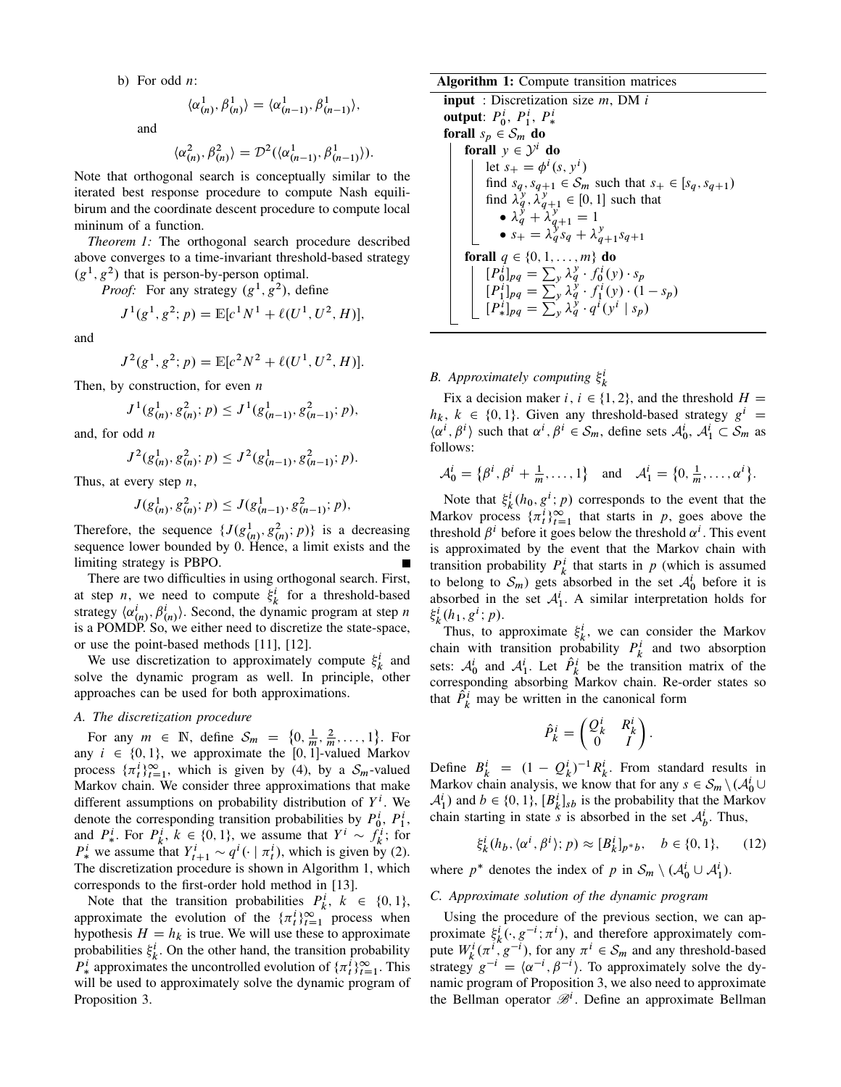b) For odd  $n$ :

$$
\langle \alpha_{(n)}^1, \beta_{(n)}^1 \rangle = \langle \alpha_{(n-1)}^1, \beta_{(n-1)}^1 \rangle,
$$

and

$$
\langle \alpha_{(n)}^2, \beta_{(n)}^2 \rangle = \mathcal{D}^2(\langle \alpha_{(n-1)}^1, \beta_{(n-1)}^1 \rangle).
$$

Note that orthogonal search is conceptually similar to the iterated best response procedure to compute Nash equilibirum and the coordinate descent procedure to compute local mininum of a function.

*Theorem 1:* The orthogonal search procedure described above converges to a time-invariant threshold-based strategy  $(g<sup>1</sup>, g<sup>2</sup>)$  that is person-by-person optimal.

*Proof:* For any strategy  $(g^1, g^2)$ , define

$$
J^{1}(g^{1}, g^{2}; p) = \mathbb{E}[c^{1}N^{1} + \ell(U^{1}, U^{2}, H)],
$$

and

$$
J^{2}(g^{1}, g^{2}; p) = \mathbb{E}[c^{2}N^{2} + \ell(U^{1}, U^{2}, H)].
$$

Then, by construction, for even  $n$ 

$$
J^{1}(g_{(n)}^{1}, g_{(n)}^{2}; p) \leq J^{1}(g_{(n-1)}^{1}, g_{(n-1)}^{2}; p),
$$

and, for odd  $n$ 

$$
J^{2}(g_{(n)}^{1}, g_{(n)}^{2}; p) \leq J^{2}(g_{(n-1)}^{1}, g_{(n-1)}^{2}; p).
$$

Thus, at every step  $n$ ,

$$
J(g_{(n)}^1, g_{(n)}^2; p) \le J(g_{(n-1)}^1, g_{(n-1)}^2; p),
$$

Therefore, the sequence  $\{J(g_{(n)}^1, g_{(n)}^2; p)\}\$ is a decreasing sequence lower bounded by 0. Hence, a limit exists and the limiting strategy is PBPO.

There are two difficulties in using orthogonal search. First, at step *n*, we need to compute  $\xi_k^i$  for a threshold-based strategy  $\langle \alpha_{(n)}^i, \beta_{(n)}^i \rangle$ . Second, the dynamic program at step n is a POMDP. So, we either need to discretize the state-space, or use the point-based methods [11], [12].

We use discretization to approximately compute  $\xi_k^i$  and solve the dynamic program as well. In principle, other approaches can be used for both approximations.

# *A. The discretization procedure*

For any  $m \in \mathbb{N}$ , define  $\mathcal{S}_m = \{0, \frac{1}{m}, \frac{2}{m}, \dots, 1\}$ . For any  $i \in \{0, 1\}$ , we approximate the [0, 1]-valued Markov process  $\{\pi_i^i\}_{i=1}^{\infty}$ , which is given by (4), by a  $S_m$ -valued Markov chain. We consider three approximations that make different assumptions on probability distribution of  $Y^i$ . We denote the corresponding transition probabilities by  $P_0^i$ ,  $P_1^i$ , and  $P^i_*$ . For  $P^i_k$ ,  $k \in \{0, 1\}$ , we assume that  $Y^i \sim f^i_k$ ; for  $P^i_*$  we assume that  $Y^i_{t+1} \sim q^i(\cdot | \pi^i_t)$ , which is given by (2). The discretization procedure is shown in Algorithm 1, which corresponds to the first-order hold method in [13].

Note that the transition probabilities  $P_k^i$ ,  $k \in \{0, 1\}$ , approximate the evolution of the  $\{\pi_i^i\}_{i=1}^\infty$  process when hypothesis  $H = h_k$  is true. We will use these to approximate probabilities  $\xi_k^i$ . On the other hand, the transition probability  $P^i_*$  approximates the uncontrolled evolution of  $\{\pi^i_t\}_{t=1}^{\infty}$ . This will be used to approximately solve the dynamic program of Proposition 3.

#### Algorithm 1: Compute transition matrices

**input** : Discretization size  $m$ , DM  $i$ output:  $P_0^i$ ,  $P_1^i$ ,  $P_*^i$ forall  $s_p \in S_m$  do forall  $y \in \mathcal{Y}^i$  do let  $s_+ = \phi^i(s, y^i)$ find  $s_q$ ,  $s_{q+1} \in S_m$  such that  $s_+ \in [s_q, s_{q+1})$ find  $\lambda_q^y$ ,  $\lambda_{q+1}^y \in [0, 1]$  such that •  $\lambda_q^{\dot{y}} + \lambda_{q+1}^{\dot{y}} = 1$ •  $s_+ = \lambda_q^y s_q + \lambda_{q+1}^y s_{q+1}$ forall  $q \in \{0, 1, ..., m\}$  do  $[P_0^i]_{pq} = \sum_{y} \lambda_q^y \cdot f_0^i(y) \cdot s_p$  $[P_1^i]_{pq} = \sum_{y}^{j} \lambda_q^{\dot{y}} \cdot f_1^i(y) \cdot (1 - s_p)$  $[P_{*}^{i}]_{pq} = \sum_{y}^{\infty} \lambda_{q}^{y} \cdot q^{i}(y^{i} | s_{p})$ 

# *B. Approximately computing*  $\xi_k^i$

Fix a decision maker  $i, i \in \{1, 2\}$ , and the threshold  $H =$  $h_k$ ,  $k \in \{0, 1\}$ . Given any threshold-based strategy  $g^i =$  $\langle \alpha^i, \beta^i \rangle$  such that  $\alpha^i, \beta^i \in S_m$ , define sets  $\mathcal{A}_0^i$ ,  $\mathcal{A}_1^i \subset S_m$  as follows:

$$
\mathcal{A}_0^i = \{ \beta^i, \beta^i + \frac{1}{m}, \dots, 1 \} \text{ and } \mathcal{A}_1^i = \{ 0, \frac{1}{m}, \dots, \alpha^i \}.
$$

Note that  $\xi_k^i(h_0, g^i; p)$  corresponds to the event that the Markov process  $\{\pi_t^i\}_{t=1}^{\infty}$  that starts in p, goes above the threshold  $\beta^i$  before it goes below the threshold  $\alpha^i$ . This event is approximated by the event that the Markov chain with transition probability  $P_k^i$  that starts in p (which is assumed to belong to  $S_m$ ) gets absorbed in the set  $A_0^i$  before it is absorbed in the set  $A_1^i$ . A similar interpretation holds for  $\xi_k^i(h_1, g^i; p)$ .

Thus, to approximate  $\xi_k^i$ , we can consider the Markov chain with transition probability  $P_k^i$  and two absorption sets:  $A_0^i$  and  $A_1^i$ . Let  $\hat{P}_k^i$  be the transition matrix of the corresponding absorbing Markov chain. Re-order states so that  $\hat{P}_k^i$  may be written in the canonical form

$$
\hat{P}_k^i = \begin{pmatrix} Q_k^i & R_k^i \\ 0 & I \end{pmatrix}.
$$

Define  $B_k^i = (1 - Q_k^i)^{-1} R_k^i$ . From standard results in Markov chain analysis, we know that for any  $s \in S_m \setminus (A_0^i \cup$  $A_1^i$ ) and  $b \in \{0, 1\}$ ,  $[B_k^i]_{sb}$  is the probability that the Markov chain starting in state *s* is absorbed in the set  $A_b^i$ . Thus,

$$
\xi_k^i(h_b, \langle \alpha^i, \beta^i \rangle; p) \approx [B_k^i]_{p^*b}, \quad b \in \{0, 1\}, \qquad (12)
$$

where  $p^*$  denotes the index of p in  $S_m \setminus (A_0^i \cup A_1^i)$ .

# *C. Approximate solution of the dynamic program*

Using the procedure of the previous section, we can approximate  $\xi_k^i(\cdot, g^{-i}; \pi^i)$ , and therefore approximately compute  $W_k^i(\pi^i, g^{-i})$ , for any  $\pi^i \in S_m$  and any threshold-based strategy  $g^{-i} = \langle \alpha^{-i}, \beta^{-i} \rangle$ . To approximately solve the dynamic program of Proposition 3, we also need to approximate the Bellman operator  $\mathcal{B}^i$ . Define an approximate Bellman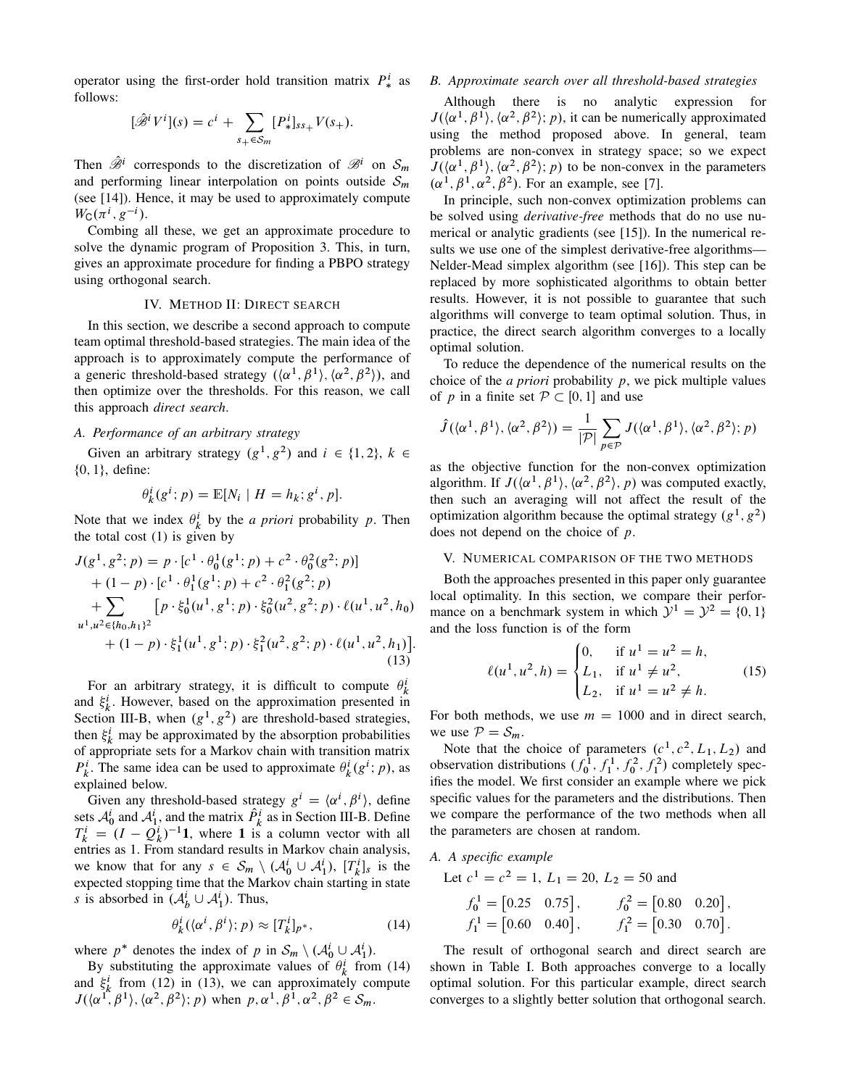operator using the first-order hold transition matrix  $P^i_*$  as follows:

$$
[\hat{\mathscr{B}}^i V^i](s) = c^i + \sum_{s_+ \in S_m} [P^i_*]_{ss_+} V(s_+).
$$

Then  $\hat{\mathscr{B}}^i$  corresponds to the discretization of  $\mathscr{B}^i$  on  $\mathcal{S}_m$ and performing linear interpolation on points outside  $S_m$ (see [14]). Hence, it may be used to approximately compute  $W_{\rm C}(\pi^i, g^{-i}).$ 

Combing all these, we get an approximate procedure to solve the dynamic program of Proposition 3. This, in turn, gives an approximate procedure for finding a PBPO strategy using orthogonal search.

# IV. METHOD II: DIRECT SEARCH

In this section, we describe a second approach to compute team optimal threshold-based strategies. The main idea of the approach is to approximately compute the performance of a generic threshold-based strategy  $(\langle \alpha^1, \beta^1 \rangle, \langle \alpha^2, \beta^2 \rangle)$ , and then optimize over the thresholds. For this reason, we call this approach *direct search*.

# *A. Performance of an arbitrary strategy*

Given an arbitrary strategy  $(g^1, g^2)$  and  $i \in \{1, 2\}, k \in$  ${0, 1}$ , define:

$$
\theta_k^i(g^i; p) = \mathbb{E}[N_i \mid H = h_k; g^i, p].
$$

Note that we index  $\theta_k^i$  by the *a priori* probability p. Then the total cost  $(1)$  is given by

$$
J(g1, g2; p) = p \cdot [c1 \cdot \theta_0^1(g1; p) + c2 \cdot \theta_0^2(g2; p)] + (1 - p) \cdot [c1 \cdot \theta_1^1(g1; p) + c2 \cdot \theta_1^2(g2; p) + \sum_{u1, u2 \in \{h_0, h_1\}^2} [p \cdot \xi_0^1(u1, g1; p) \cdot \xi_0^2(u2, g2; p) \cdot \ell(u1, u2, h_0) + (1 - p) \cdot \xi_1^1(u1, g1; p) \cdot \xi_1^2(u2, g2; p) \cdot \ell(u1, u2, h_1)].
$$
(13)

For an arbitrary strategy, it is difficult to compute  $\theta_k^i$ and  $\xi_k^i$ . However, based on the approximation presented in Section III-B, when  $(g<sup>1</sup>, g<sup>2</sup>)$  are threshold-based strategies, then  $\xi_k^i$  may be approximated by the absorption probabilities of appropriate sets for a Markov chain with transition matrix  $P_k^i$ . The same idea can be used to approximate  $\theta_k^i(g^i; p)$ , as explained below.

Given any threshold-based strategy  $g^i = \langle \alpha^i, \beta^i \rangle$ , define sets  $A_0^i$  and  $A_1^i$ , and the matrix  $\hat{P}_k^i$  as in Section III-B. Define  $T_k^i = (I - Q_k^i)^{-1}$ **1**, where **1** is a column vector with all entries as 1. From standard results in Markov chain analysis, we know that for any  $s \in S_m \setminus (A_0^i \cup A_1^i)$ ,  $[T_k^i]_s$  is the expected stopping time that the Markov chain starting in state s is absorbed in  $(\mathcal{A}_{b}^{i} \cup \mathcal{A}_{1}^{i})$ . Thus,

$$
\theta_k^i(\langle \alpha^i, \beta^i \rangle; p) \approx [T_k^i]_{p^*},\tag{14}
$$

where  $p^*$  denotes the index of p in  $S_m \setminus (A_0^i \cup A_1^i)$ .

By substituting the approximate values of  $\theta_k^i$  from (14) and  $\xi_k^i$  from (12) in (13), we can approximately compute  $J(\langle \alpha^1, \beta^1 \rangle, \langle \alpha^2, \beta^2 \rangle; p)$  when  $p, \alpha^1, \beta^1, \alpha^2, \beta^2 \in S_m$ .

# *B. Approximate search over all threshold-based strategies*

Although there is no analytic expression for  $J(\langle \alpha^1, \beta^1 \rangle, \langle \alpha^2, \beta^2 \rangle; p)$ , it can be numerically approximated using the method proposed above. In general, team problems are non-convex in strategy space; so we expect  $J(\langle \alpha^1, \beta^1 \rangle, \langle \alpha^2, \beta^2 \rangle; p)$  to be non-convex in the parameters  $(\alpha^1, \beta^1, \alpha^2, \beta^2)$ . For an example, see [7].

In principle, such non-convex optimization problems can be solved using *derivative-free* methods that do no use numerical or analytic gradients (see [15]). In the numerical results we use one of the simplest derivative-free algorithms— Nelder-Mead simplex algorithm (see [16]). This step can be replaced by more sophisticated algorithms to obtain better results. However, it is not possible to guarantee that such algorithms will converge to team optimal solution. Thus, in practice, the direct search algorithm converges to a locally optimal solution.

To reduce the dependence of the numerical results on the choice of the *a priori* probability p, we pick multiple values of p in a finite set  $P \subset [0, 1]$  and use

$$
\hat{J}(\langle \alpha^1, \beta^1 \rangle, \langle \alpha^2, \beta^2 \rangle) = \frac{1}{|\mathcal{P}|} \sum_{p \in \mathcal{P}} J(\langle \alpha^1, \beta^1 \rangle, \langle \alpha^2, \beta^2 \rangle; p)
$$

as the objective function for the non-convex optimization algorithm. If  $J(\langle \alpha^1, \beta^1 \rangle, \langle \alpha^2, \beta^2 \rangle, p)$  was computed exactly, then such an averaging will not affect the result of the optimization algorithm because the optimal strategy  $(g<sup>1</sup>, g<sup>2</sup>)$ does not depend on the choice of p.

## V. NUMERICAL COMPARISON OF THE TWO METHODS

Both the approaches presented in this paper only guarantee local optimality. In this section, we compare their performance on a benchmark system in which  $\mathcal{Y}^1 = \mathcal{Y}^2 = \{0, 1\}$ and the loss function is of the form

$$
\ell(u^1, u^2, h) = \begin{cases} 0, & \text{if } u^1 = u^2 = h, \\ L_1, & \text{if } u^1 \neq u^2, \\ L_2, & \text{if } u^1 = u^2 \neq h. \end{cases}
$$
 (15)

For both methods, we use  $m = 1000$  and in direct search, we use  $P = S_m$ .

Note that the choice of parameters  $(c^1, c^2, L_1, L_2)$  and observation distributions  $(f_0^1, f_1^1, f_0^2, f_1^2)$  completely specifies the model. We first consider an example where we pick specific values for the parameters and the distributions. Then we compare the performance of the two methods when all the parameters are chosen at random.

# *A. A specific example*

Let  $c^1 = c^2 = 1$ ,  $L_1 = 20$ ,  $L_2 = 50$  and

$$
f_0^1 = [0.25 \quad 0.75], \qquad f_0^2 = [0.80 \quad 0.20],
$$
  

$$
f_1^1 = [0.60 \quad 0.40], \qquad f_1^2 = [0.30 \quad 0.70].
$$

The result of orthogonal search and direct search are shown in Table I. Both approaches converge to a locally optimal solution. For this particular example, direct search converges to a slightly better solution that orthogonal search.